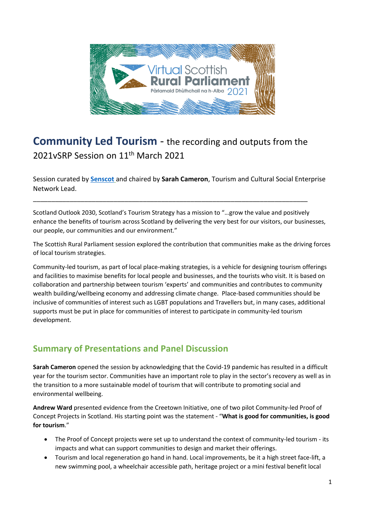

# **Community Led Tourism** - the recording and outputs from the 2021vSRP Session on 11<sup>th</sup> March 2021

\_\_\_\_\_\_\_\_\_\_\_\_\_\_\_\_\_\_\_\_\_\_\_\_\_\_\_\_\_\_\_\_\_\_\_\_\_\_\_\_\_\_\_\_\_\_\_\_\_\_\_\_\_\_\_\_\_\_\_\_\_\_\_\_\_\_\_\_\_\_\_\_\_\_\_

Session curated by **[Senscot](https://senscot.net/)** and chaired by **Sarah Cameron**, Tourism and Cultural Social Enterprise Network Lead.

Scotland Outlook 2030, Scotland's Tourism Strategy has a mission to "…grow the value and positively enhance the benefits of tourism across Scotland by delivering the very best for our visitors, our businesses, our people, our communities and our environment."

The Scottish Rural Parliament session explored the contribution that communities make as the driving forces of local tourism strategies.

Community-led tourism, as part of local place-making strategies, is a vehicle for designing tourism offerings and facilities to maximise benefits for local people and businesses, and the tourists who visit. It is based on collaboration and partnership between tourism 'experts' and communities and contributes to community wealth building/wellbeing economy and addressing climate change. Place-based communities should be inclusive of communities of interest such as LGBT populations and Travellers but, in many cases, additional supports must be put in place for communities of interest to participate in community-led tourism development.

# **Summary of Presentations and Panel Discussion**

**Sarah Cameron** opened the session by acknowledging that the Covid-19 pandemic has resulted in a difficult year for the tourism sector. Communities have an important role to play in the sector's recovery as well as in the transition to a more sustainable model of tourism that will contribute to promoting social and environmental wellbeing.

**Andrew Ward** presented evidence from the Creetown Initiative, one of two pilot Community-led Proof of Concept Projects in Scotland. His starting point was the statement - "**What is good for communities, is good for tourism**."

- The Proof of Concept projects were set up to understand the context of community-led tourism its impacts and what can support communities to design and market their offerings.
- Tourism and local regeneration go hand in hand. Local improvements, be it a high street face-lift, a new swimming pool, a wheelchair accessible path, heritage project or a mini festival benefit local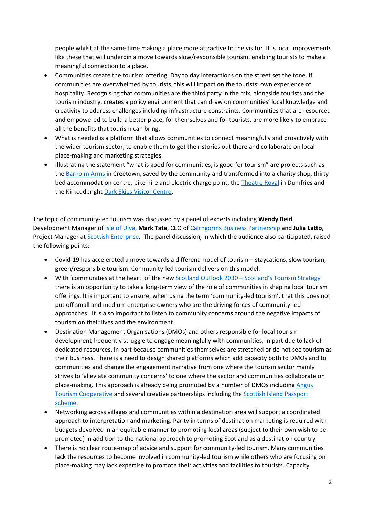people whilst at the same time making a place more attractive to the visitor. It is local improvements like these that will underpin a move towards slow/responsible tourism, enabling tourists to make a meaningful connection to a place.

- Communities create the tourism offering. Day to day interactions on the street set the tone. If communities are overwhelmed by tourists, this will impact on the tourists' own experience of hospitality. Recognising that communities are the third party in the mix, alongside tourists and the tourism industry, creates a policy environment that can draw on communities' local knowledge and creativity to address challenges including infrastructure constraints. Communities that are resourced and empowered to build a better place, for themselves and for tourists, are more likely to embrace all the benefits that tourism can bring.
- What is needed is a platform that allows communities to connect meaningfully and proactively with the wider tourism sector, to enable them to get their stories out there and collaborate on local place-making and marketing strategies.
- Illustrating the statement "what is good for communities, is good for tourism" are projects such as th[e Barholm Arms](https://barholm-centre.co.uk/) in Creetown, saved by the community and transformed into a charity shop, thirty bed accommodation centre, bike hire and electric charge point, th[e Theatre Royal](https://www.theatreroyaldumfries.co.uk/) in Dumfries and the Kirkcudbright [Dark Skies Visitor Centre.](https://gallowayglens.org/projects/kirkcudbright-dark-skies-visitor-centre/)

The topic of community-led tourism was discussed by a panel of experts including **Wendy Reid**, Development Manager of [Isle of Ulva,](https://www.ulva.scot/) **Mark Tate**, CEO o[f Cairngorms Business Partnership](https://www.cairngormschamber.com/) and **Julia Latto**, Project Manager at [Scottish Enterprise.](https://www.scottish-enterprise.com/) The panel discussion, in which the audience also participated, raised the following points:

- Covid-19 has accelerated a move towards a different model of tourism staycations, slow tourism, green/responsible tourism. Community-led tourism delivers on this model.
- With 'communities at the heart' of the ne[w Scotland Outlook 2030](https://scottishtourismalliance.co.uk/scotland-outlook-2030-overview/)  Scotland's Tourism Strategy there is an opportunity to take a long-term view of the role of communities in shaping local tourism offerings. It is important to ensure, when using the term 'community-led tourism', that this does not put off small and medium enterprise owners who are the driving forces of community-led approaches. It is also important to listen to community concerns around the negative impacts of tourism on their lives and the environment.
- Destination Management Organisations (DMOs) and others responsible for local tourism development frequently struggle to engage meaningfully with communities, in part due to lack of dedicated resources, in part because communities themselves are stretched or do not see tourism as their business. There is a need to design shared platforms which add capacity both to DMOs and to communities and change the engagement narrative from one where the tourism sector mainly strives to 'alleviate community concerns' to one where the sector and communities collaborate on place-making. This approach is already being promoted by a number of DMOs including [Angus](https://www.angustourism.co.uk/)  [Tourism Cooperative](https://www.angustourism.co.uk/) and several creative partnerships including the [Scottish Island Passport](https://www.islands.scot/about-us/) [scheme.](https://www.islands.scot/about-us/)
- Networking across villages and communities within a destination area will support a coordinated approach to interpretation and marketing. Parity in terms of destination marketing is required with budgets devolved in an equitable manner to promoting local areas (subject to their own wish to be promoted) in addition to the national approach to promoting Scotland as a destination country.
- There is no clear route-map of advice and support for community-led tourism. Many communities lack the resources to become involved in community-led tourism while others who are focusing on place-making may lack expertise to promote their activities and facilities to tourists. Capacity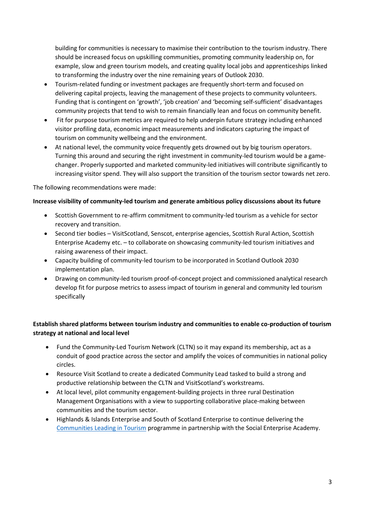building for communities is necessary to maximise their contribution to the tourism industry. There should be increased focus on upskilling communities, promoting community leadership on, for example, slow and green tourism models, and creating quality local jobs and apprenticeships linked to transforming the industry over the nine remaining years of Outlook 2030.

- Tourism-related funding or investment packages are frequently short-term and focused on delivering capital projects, leaving the management of these projects to community volunteers. Funding that is contingent on 'growth', 'job creation' and 'becoming self-sufficient' disadvantages community projects that tend to wish to remain financially lean and focus on community benefit.
- Fit for purpose tourism metrics are required to help underpin future strategy including enhanced visitor profiling data, economic impact measurements and indicators capturing the impact of tourism on community wellbeing and the environment.
- At national level, the community voice frequently gets drowned out by big tourism operators. Turning this around and securing the right investment in community-led tourism would be a gamechanger. Properly supported and marketed community-led initiatives will contribute significantly to increasing visitor spend. They will also support the transition of the tourism sector towards net zero.

The following recommendations were made:

### **Increase visibility of community-led tourism and generate ambitious policy discussions about its future**

- Scottish Government to re-affirm commitment to community-led tourism as a vehicle for sector recovery and transition.
- Second tier bodies VisitScotland, Senscot, enterprise agencies, Scottish Rural Action, Scottish Enterprise Academy etc. – to collaborate on showcasing community-led tourism initiatives and raising awareness of their impact.
- Capacity building of community-led tourism to be incorporated in Scotland Outlook 2030 implementation plan.
- Drawing on community-led tourism proof-of-concept project and commissioned analytical research develop fit for purpose metrics to assess impact of tourism in general and community led tourism specifically

### **Establish shared platforms between tourism industry and communities to enable co-production of tourism strategy at national and local level**

- Fund the Community-Led Tourism Network (CLTN) so it may expand its membership, act as a conduit of good practice across the sector and amplify the voices of communities in national policy circles.
- Resource Visit Scotland to create a dedicated Community Lead tasked to build a strong and productive relationship between the CLTN and VisitScotland's workstreams.
- At local level, pilot community engagement-building projects in three rural Destination Management Organisations with a view to supporting collaborative place-making between communities and the tourism sector.
- Highlands & Islands Enterprise and South of Scotland Enterprise to continue delivering the [Communities Leading in Tourism](https://www.hie.co.uk/latest-news/2020/november/06/local-communities-aim-to-be-leaders-in-scottish-tourism/) programme in partnership with the Social Enterprise Academy.